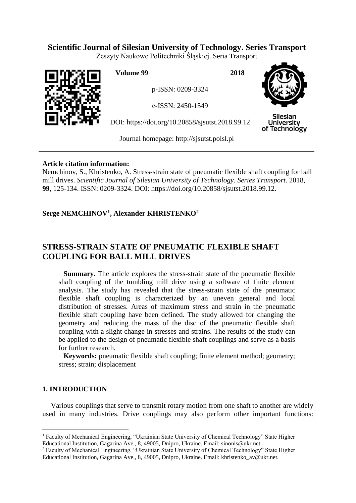# **Scientific Journal of Silesian University of Technology. Series Transport**

Zeszyty Naukowe Politechniki Śląskiej. Seria Transport



**Volume 99 2018**

p-ISSN: 0209-3324

e-ISSN: 2450-1549

DOI: https://doi.org/10.20858/sjsutst.2018.99.12



Silesian **University** of Technology

Journal homepage: [http://sjsutst.polsl.pl](http://sjsutst.polsl.pl/)

## **Article citation information:**

Nemchinov, S., Khristenko, A. Stress-strain state of pneumatic flexible shaft coupling for ball mill drives. *Scientific Journal of Silesian University of Technology. Series Transport*. 2018, **99**, 125-134. ISSN: 0209-3324. DOI: https://doi.org/10.20858/sjsutst.2018.99.12.

# **Serge NEMCHINOV<sup>1</sup> , Alexander KHRISTENKO<sup>2</sup>**

# **STRESS-STRAIN STATE OF PNEUMATIC FLEXIBLE SHAFT COUPLING FOR BALL MILL DRIVES**

**Summary**. The article explores the stress-strain state of the pneumatic flexible shaft coupling of the tumbling mill drive using a software of finite element analysis. The study has revealed that the stress-strain state of the pneumatic flexible shaft coupling is characterized by an uneven general and local distribution of stresses. Areas of maximum stress and strain in the pneumatic flexible shaft coupling have been defined. The study allowed for changing the geometry and reducing the mass of the disc of the pneumatic flexible shaft coupling with a slight change in stresses and strains. The results of the study can be applied to the design of pneumatic flexible shaft couplings and serve as a basis for further research.

**Keywords:** pneumatic flexible shaft coupling; finite element method; geometry; stress; strain; displacement

## **1. INTRODUCTION**

 $\overline{a}$ 

Various couplings that serve to transmit rotary motion from one shaft to another are widely used in many industries. Drive couplings may also perform other important functions:

<sup>&</sup>lt;sup>1</sup> Faculty of Mechanical Engineering, "Ukrainian State University of Chemical Technology" State Higher Educational Institution, Gagarina Ave., 8, 49005, Dnipro, Ukraine. Email: sinonis@ukr.net.

<sup>2</sup> Faculty of Mechanical Engineering, "Ukrainian State University of Chemical Technology" State Higher Educational Institution, Gagarina Ave., 8, 49005, Dnipro, Ukraine. Email: khristenko\_av@ukr.net.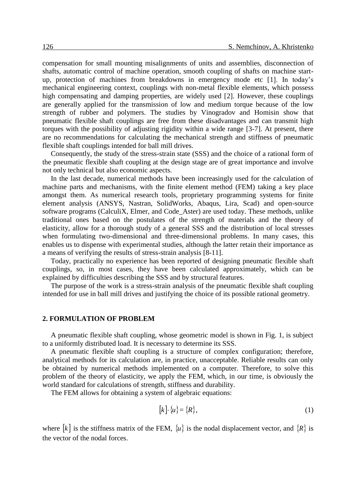compensation for small mounting misalignments of units and assemblies, disconnection of shafts, automatic control of machine operation, smooth coupling of shafts on machine startup, protection of machines from breakdowns in emergency mode etc [1]. In today's mechanical engineering context, couplings with non-metal flexible elements, which possess high compensating and damping properties, are widely used [2]. However, these couplings are generally applied for the transmission of low and medium torque because of the low strength of rubber and polymers. The studies by Vinogradov and Homisin show that pneumatic flexible shaft couplings are free from these disadvantages and can transmit high torques with the possibility of adjusting rigidity within a wide range [3-7]. At present, there are no recommendations for calculating the mechanical strength and stiffness of pneumatic flexible shaft couplings intended for ball mill drives.

Consequently, the study of the stress-strain state (SSS) and the choice of a rational form of the pneumatic flexible shaft coupling at the design stage are of great importance and involve not only technical but also economic aspects.

In the last decade, numerical methods have been increasingly used for the calculation of machine parts and mechanisms, with the finite element method (FEM) taking a key place amongst them. As numerical research tools, proprietary programming systems for finite element analysis (ANSYS, Nastran, SolidWorks, Abaqus, Lira, Scad) and open-source software programs (CalculiX, Elmer, and Code\_Aster) are used today. These methods, unlike traditional ones based on the postulates of the strength of materials and the theory of elasticity, allow for a thorough study of a general SSS and the distribution of local stresses when formulating two-dimensional and three-dimensional problems. In many cases, this enables us to dispense with experimental studies, although the latter retain their importance as a means of verifying the results of stress-strain analysis [8-11].

Today, practically no experience has been reported of designing pneumatic flexible shaft couplings, so, in most cases, they have been calculated approximately, which can be explained by difficulties describing the SSS and by structural features.

The purpose of the work is a stress-strain analysis of the pneumatic flexible shaft coupling intended for use in ball mill drives and justifying the choice of its possible rational geometry.

#### **2. FORMULATION OF PROBLEM**

A pneumatic flexible shaft coupling, whose geometric model is shown in Fig. 1, is subject to a uniformly distributed load. It is necessary to determine its SSS.

A pneumatic flexible shaft coupling is a structure of complex configuration; therefore, analytical methods for its calculation are, in practice, unacceptable. Reliable results can only be obtained by numerical methods implemented on a computer. Therefore, to solve this problem of the theory of elasticity, we apply the FEM, which, in our time, is obviously the world standard for calculations of strength, stiffness and durability.

The FEM allows for obtaining a system of algebraic equations:

$$
[k] \cdot \{u\} = \{R\},\tag{1}
$$

where |k| is the stiffness matrix of the FEM,  $\{u\}$  is the nodal displacement vector, and  $\{R\}$  is the vector of the nodal forces.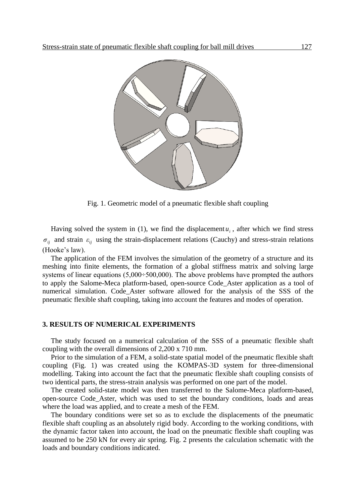

Fig. 1. Geometric model of a pneumatic flexible shaft coupling

Having solved the system in (1), we find the displacement  $u_i$ , after which we find stress  $\sigma_{ij}$  and strain  $\varepsilon_{ij}$  using the strain-displacement relations (Cauchy) and stress-strain relations (Hooke's law).

The application of the FEM involves the simulation of the geometry of a structure and its meshing into finite elements, the formation of a global stiffness matrix and solving large systems of linear equations (5,000÷500,000). The above problems have prompted the authors to apply the Salome-Meca platform-based, open-source Code\_Aster application as a tool of numerical simulation. Code\_Aster software allowed for the analysis of the SSS of the pneumatic flexible shaft coupling, taking into account the features and modes of operation.

### **3. RESULTS OF NUMERICAL EXPERIMENTS**

The study focused on a numerical calculation of the SSS of a pneumatic flexible shaft coupling with the overall dimensions of 2,200 x 710 mm.

Prior to the simulation of a FEM, a solid-state spatial model of the pneumatic flexible shaft coupling (Fig. 1) was created using the KOMPAS-3D system for three-dimensional modelling. Taking into account the fact that the pneumatic flexible shaft coupling consists of two identical parts, the stress-strain analysis was performed on one part of the model.

The created solid-state model was then transferred to the Salome-Meca platform-based, open-source Code\_Aster, which was used to set the boundary conditions, loads and areas where the load was applied, and to create a mesh of the FEM.

The boundary conditions were set so as to exclude the displacements of the pneumatic flexible shaft coupling as an absolutely rigid body. According to the working conditions, with the dynamic factor taken into account, the load on the pneumatic flexible shaft coupling was assumed to be 250 kN for every air spring. Fig. 2 presents the calculation schematic with the loads and boundary conditions indicated.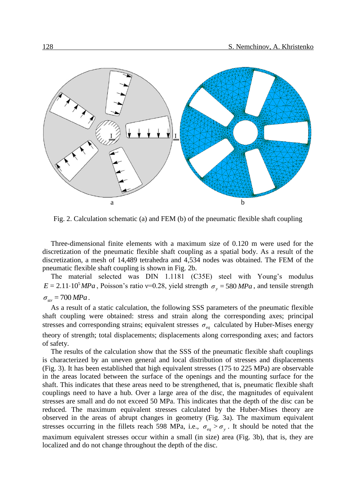

Fig. 2. Calculation schematic (a) and FEM (b) of the pneumatic flexible shaft coupling

Three-dimensional finite elements with a maximum size of 0.120 m were used for the discretization of the pneumatic flexible shaft coupling as a spatial body. As a result of the discretization, a mesh of 14,489 tetrahedra and 4,534 nodes was obtained. The FEM of the pneumatic flexible shaft coupling is shown in Fig. 2b.

The material selected was DIN 1.1181 (C35E) steel with Young's modulus  $E = 2.11 \cdot 10^5 MPa$ , Poisson's ratio v=0.28, yield strength  $\sigma_y = 580 MPa$ , and tensile strength

# $\sigma_{str}$  = 700 *MPa* .

As a result of a static calculation, the following SSS parameters of the pneumatic flexible shaft coupling were obtained: stress and strain along the corresponding axes; principal stresses and corresponding strains; equivalent stresses *σeq* calculated by Huber-Mises energy theory of strength; total displacements; displacements along corresponding axes; and factors of safety.

The results of the calculation show that the SSS of the pneumatic flexible shaft couplings is characterized by an uneven general and local distribution of stresses and displacements (Fig. 3). It has been established that high equivalent stresses (175 to 225 MPa) are observable in the areas located between the surface of the openings and the mounting surface for the shaft. This indicates that these areas need to be strengthened, that is, pneumatic flexible shaft couplings need to have a hub. Over a large area of the disc, the magnitudes of equivalent stresses are small and do not exceed 50 MPa. This indicates that the depth of the disc can be reduced. The maximum equivalent stresses calculated by the Huber-Mises theory are observed in the areas of abrupt changes in geometry (Fig. 3a). The maximum equivalent stresses occurring in the fillets reach 598 MPa, i.e.,  $\sigma_{eq} > \sigma_{y}$ . It should be noted that the maximum equivalent stresses occur within a small (in size) area (Fig. 3b), that is, they are localized and do not change throughout the depth of the disc.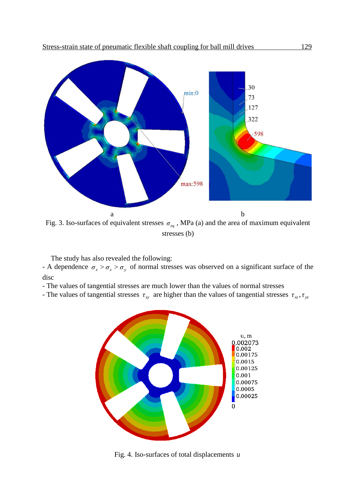

Fig. 3. Iso-surfaces of equivalent stresses  $\sigma_{eq}$ , MPa (a) and the area of maximum equivalent stresses (b)

The study has also revealed the following:

- A dependence  $\sigma_x > \sigma_z > \sigma_y$  of normal stresses was observed on a significant surface of the disc

- The values of tangential stresses are much lower than the values of normal stresses

- The values of tangential stresses  $\tau_{xy}$  are higher than the values of tangential stresses  $\tau_{xz}$ ,  $\tau_{yz}$ 



Fig. 4. Iso-surfaces of total displacements *u*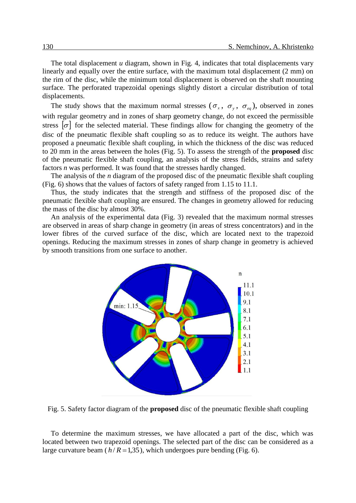The total displacement *u* diagram, shown in Fig. 4, indicates that total displacements vary linearly and equally over the entire surface, with the maximum total displacement (2 mm) on the rim of the disc, while the minimum total displacement is observed on the shaft mounting surface. The perforated trapezoidal openings slightly distort a circular distribution of total displacements.

The study shows that the maximum normal stresses  $(\sigma_x, \sigma_y, \sigma_{eq})$ , observed in zones with regular geometry and in zones of sharp geometry change, do not exceed the permissible stress  $|\sigma|$  for the selected material. These findings allow for changing the geometry of the disc of the pneumatic flexible shaft coupling so as to reduce its weight. The authors have proposed a pneumatic flexible shaft coupling, in which the thickness of the disc was reduced to 20 mm in the areas between the holes (Fig. 5). To assess the strength of the **proposed** disc of the pneumatic flexible shaft coupling, an analysis of the stress fields, strains and safety factors *n* was performed. It was found that the stresses hardly changed.

The analysis of the *n* diagram of the proposed disc of the pneumatic flexible shaft coupling (Fig. 6) shows that the values of factors of safety ranged from 1.15 to 11.1.

Thus, the study indicates that the strength and stiffness of the proposed disc of the pneumatic flexible shaft coupling are ensured. The changes in geometry allowed for reducing the mass of the disc by almost 30%.

An analysis of the experimental data (Fig. 3) revealed that the maximum normal stresses are observed in areas of sharp change in geometry (in areas of stress concentrators) and in the lower fibres of the curved surface of the disc, which are located next to the trapezoid openings. Reducing the maximum stresses in zones of sharp change in geometry is achieved by smooth transitions from one surface to another.



Fig. 5. Safety factor diagram of the **proposed** disc of the pneumatic flexible shaft coupling

To determine the maximum stresses, we have allocated a part of the disc, which was located between two trapezoid openings. The selected part of the disc can be considered as a large curvature beam  $(h/R = 1,35)$ , which undergoes pure bending (Fig. 6).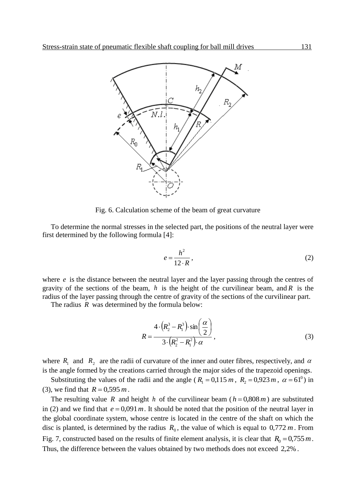

Fig. 6. Calculation scheme of the beam of great curvature

To determine the normal stresses in the selected part, the positions of the neutral layer were first determined by the following formula [4]:

$$
e = \frac{h^2}{12 \cdot R},\tag{2}
$$

where  $e$  is the distance between the neutral layer and the layer passing through the centres of gravity of the sections of the beam,  $h$  is the height of the curvilinear beam, and  $R$  is the radius of the layer passing through the centre of gravity of the sections of the curvilinear part.

The radius R was determined by the formula below:

$$
R = \frac{4 \cdot (R_2^3 - R_1^3) \cdot \sin\left(\frac{\alpha}{2}\right)}{3 \cdot (R_2^2 - R_1^2) \cdot \alpha},
$$
\n(3)

where  $R_1$  and  $R_2$  are the radii of curvature of the inner and outer fibres, respectively, and  $\alpha$ is the angle formed by the creations carried through the major sides of the trapezoid openings.

Substituting the values of the radii and the angle ( $R_1 = 0.115$  *m*,  $R_2 = 0.923$  *m*,  $\alpha = 61^\circ$ ) in (3), we find that  $R = 0,595 m$ .

The resulting value R and height h of the curvilinear beam ( $h = 0.808 m$ ) are substituted in (2) and we find that  $e = 0.091 m$ . It should be noted that the position of the neutral layer in the global coordinate system, whose centre is located in the centre of the shaft on which the disc is planted, is determined by the radius  $R_0$ , the value of which is equal to  $0.772 m$ . From Fig. 7, constructed based on the results of finite element analysis, it is clear that  $R_0 = 0.755 m$ . Thus, the difference between the values obtained by two methods does not exceed 2,2% .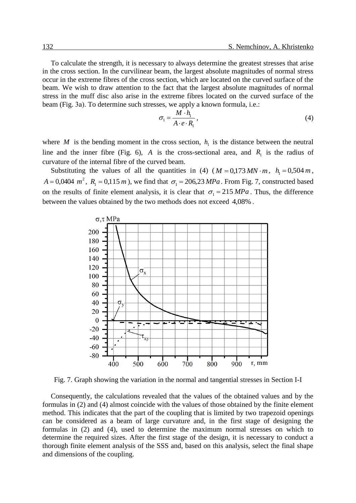To calculate the strength, it is necessary to always determine the greatest stresses that arise in the cross section. In the curvilinear beam, the largest absolute magnitudes of normal stress occur in the extreme fibres of the cross section, which are located on the curved surface of the beam. We wish to draw attention to the fact that the largest absolute magnitudes of normal stress in the muff disc also arise in the extreme fibres located on the curved surface of the beam (Fig. 3а). To determine such stresses, we apply a known formula, i.e.:

$$
\sigma_1 = \frac{M \cdot h_1}{A \cdot e \cdot R_1},\tag{4}
$$

where M is the bending moment in the cross section,  $h_1$  is the distance between the neutral line and the inner fibre (Fig. 6), A is the cross-sectional area, and  $R_1$  is the radius of curvature of the internal fibre of the curved beam.

Substituting the values of all the quantities in (4)  $(M = 0.173 MN \cdot m, h_1 = 0.504 m,$  $A = 0,0404$   $m^2$ ,  $R_1 = 0,115$  *m*), we find that  $\sigma_1 = 206,23$  *MPa*. From Fig. 7, constructed based on the results of finite element analysis, it is clear that  $\sigma_1 = 215 MPa$ . Thus, the difference between the values obtained by the two methods does not exceed 4,08% .



Fig. 7. Graph showing the variation in the normal and tangential stresses in Section I-I

Consequently, the calculations revealed that the values of the obtained values and by the formulas in (2) and (4) almost coincide with the values of those obtained by the finite element method. This indicates that the part of the coupling that is limited by two trapezoid openings can be considered as a beam of large curvature and, in the first stage of designing the formulas in (2) and (4), used to determine the maximum normal stresses on which to determine the required sizes. After the first stage of the design, it is necessary to conduct a thorough finite element analysis of the SSS and, based on this analysis, select the final shape and dimensions of the coupling.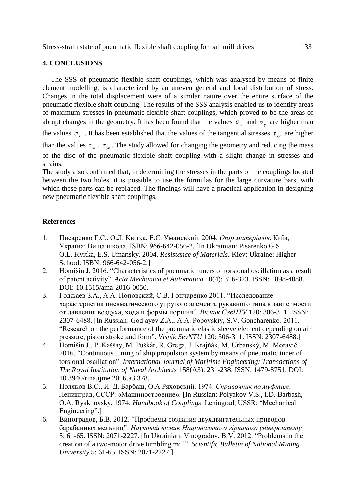### **4. CONCLUSIONS**

The SSS of pneumatic flexible shaft couplings, which was analysed by means of finite element modelling, is characterized by an uneven general and local distribution of stress. Changes in the total displacement were of a similar nature over the entire surface of the pneumatic flexible shaft coupling. The results of the SSS analysis enabled us to identify areas of maximum stresses in pneumatic flexible shaft couplings, which proved to be the areas of abrupt changes in the geometry. It has been found that the values  $\sigma_x$  and  $\sigma_y$  are higher than the values  $\sigma_z$ . It has been established that the values of the tangential stresses  $\tau_{xy}$  are higher than the values  $\tau_{xz}$ ,  $\tau_{yz}$ . The study allowed for changing the geometry and reducing the mass of the disc of the pneumatic flexible shaft coupling with a slight change in stresses and strains. The study also confirmed that, in determining the stresses in the parts of the couplings located

between the two holes, it is possible to use the formulas for the large curvature bars, with which these parts can be replaced. The findings will have a practical application in designing new pneumatic flexible shaft couplings.

## **References**

- 1. Писаренко Г.С., О.Л. Квітка, Е.С. Уманський. 2004. *Опір матеріалів*. Київ, Україна: Вища школа. ISBN: 966-642-056-2. [In Ukrainian: Pisarenko G.S., O.L. Kvitka, E.S. Umansky. 2004. *Resistance of Materials*. Kiev: Ukraine: Higher School. ISBN: 966-642-056-2.]
- 2. Homišin J. 2016. "Characteristics of pneumatic tuners of torsional oscillation as a result of patent activity". *Acta Mechanica et Automatica* 10(4): 316-323. ISSN: 1898-4088. DOI: 10.1515/ama-2016-0050.
- 3. Годжаев З.А., A.A. Поповский, C.B. Гончаренко 2011. "Исследование характеристик пневматического упругого элемента рукавного типа в зависимости от давления воздуха, хода и формы поршня". *Вісник СевНТУ* 120: 306-311. ISSN: 2307-6488. [In Russian: Godjayev Z.А., A.A. Popovskiy, S.V. Goncharenko. 2011. "Research on the performance of the pneumatic elastic sleeve element depending on air pressure, piston stroke and form". *Visnik SevNTU* 120: 306-311. ISSN: 2307-6488.]
- 4. Homišin J., P. Kaššay, M. Puškár, R. Grega, J. Krajňák, M. Urbanský, M. Moravič. 2016. "Continuous tuning of ship propulsion system by means of pneumatic tuner of torsional oscillation". *International Journal of Maritime Engineering: Transactions of The Royal Institution of Naval Architects* 158(A3): 231-238. ISSN: 1479-8751. DOI: 10.3940/rina.ijme.2016.a3.378.
- 5. Поляков В.С., И. Д. Барбаш, О.А Ряховский. 1974. *Справочник по муфтам*. Ленинград, СССР: «Машиностроение». [In Russian: Polyakov V.S., I.D. Barbash, O.A. Ryakhovsky. 1974. *Handbook of Couplings*. Leningrad, USSR: "Mechanical Engineering".]
- 6. Виноградов, Б.В. 2012. "Проблемы создания двухдвигательных приводов барабанных мельниц". *Науковий вісник Національного гірничого університету* 5: 61-65. ISSN: 2071-2227. [In Ukrainian: Vinogradov, B.V. 2012. "Problems in the creation of a two-motor drive tumbling mill". *Scientific Bulletin of National Mining University* 5: 61-65. ISSN: 2071-2227.]